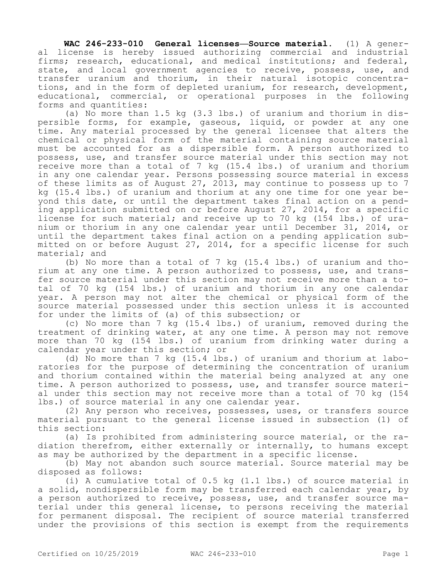**WAC 246-233-010 General licenses—Source material.** (1) A general license is hereby issued authorizing commercial and industrial firms; research, educational, and medical institutions; and federal, state, and local government agencies to receive, possess, use, and transfer uranium and thorium, in their natural isotopic concentrations, and in the form of depleted uranium, for research, development, educational, commercial, or operational purposes in the following forms and quantities:

(a) No more than 1.5 kg (3.3 lbs.) of uranium and thorium in dispersible forms, for example, gaseous, liquid, or powder at any one time. Any material processed by the general licensee that alters the chemical or physical form of the material containing source material must be accounted for as a dispersible form. A person authorized to possess, use, and transfer source material under this section may not receive more than a total of 7 kg (15.4 lbs.) of uranium and thorium in any one calendar year. Persons possessing source material in excess of these limits as of August 27, 2013, may continue to possess up to 7 kg (15.4 lbs.) of uranium and thorium at any one time for one year beyond this date, or until the department takes final action on a pending application submitted on or before August 27, 2014, for a specific license for such material; and receive up to 70 kg (154 lbs.) of uranium or thorium in any one calendar year until December 31, 2014, or until the department takes final action on a pending application submitted on or before August 27, 2014, for a specific license for such material; and

(b) No more than a total of 7 kg (15.4 lbs.) of uranium and thorium at any one time. A person authorized to possess, use, and transfer source material under this section may not receive more than a total of 70 kg (154 lbs.) of uranium and thorium in any one calendar year. A person may not alter the chemical or physical form of the source material possessed under this section unless it is accounted for under the limits of (a) of this subsection; or

(c) No more than 7 kg (15.4 lbs.) of uranium, removed during the treatment of drinking water, at any one time. A person may not remove more than 70 kg (154 lbs.) of uranium from drinking water during a calendar year under this section; or

(d) No more than 7 kg (15.4 lbs.) of uranium and thorium at laboratories for the purpose of determining the concentration of uranium and thorium contained within the material being analyzed at any one time. A person authorized to possess, use, and transfer source material under this section may not receive more than a total of 70 kg (154 lbs.) of source material in any one calendar year.

(2) Any person who receives, possesses, uses, or transfers source material pursuant to the general license issued in subsection (1) of this section:

(a) Is prohibited from administering source material, or the radiation therefrom, either externally or internally, to humans except as may be authorized by the department in a specific license.

(b) May not abandon such source material. Source material may be disposed as follows:

(i) A cumulative total of 0.5 kg (1.1 lbs.) of source material in a solid, nondispersible form may be transferred each calendar year, by a person authorized to receive, possess, use, and transfer source material under this general license, to persons receiving the material for permanent disposal. The recipient of source material transferred under the provisions of this section is exempt from the requirements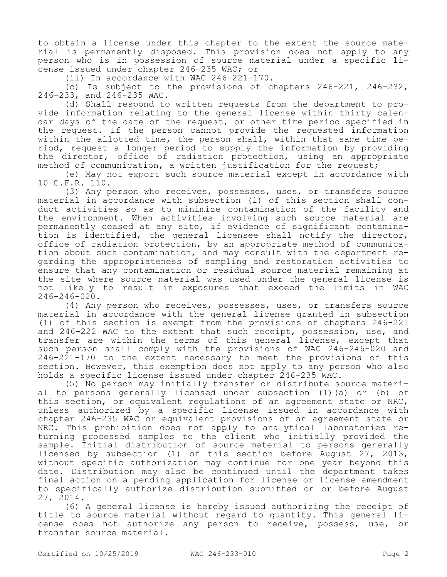to obtain a license under this chapter to the extent the source material is permanently disposed. This provision does not apply to any person who is in possession of source material under a specific license issued under chapter 246-235 WAC; or

(ii) In accordance with WAC 246-221-170.

(c) Is subject to the provisions of chapters 246-221, 246-232, 246-233, and 246-235 WAC.

(d) Shall respond to written requests from the department to provide information relating to the general license within thirty calendar days of the date of the request, or other time period specified in the request. If the person cannot provide the requested information within the allotted time, the person shall, within that same time period, request a longer period to supply the information by providing the director, office of radiation protection, using an appropriate method of communication, a written justification for the request;

(e) May not export such source material except in accordance with 10 C.F.R. 110.

(3) Any person who receives, possesses, uses, or transfers source material in accordance with subsection (1) of this section shall conduct activities so as to minimize contamination of the facility and the environment. When activities involving such source material are permanently ceased at any site, if evidence of significant contamination is identified, the general licensee shall notify the director, office of radiation protection, by an appropriate method of communication about such contamination, and may consult with the department regarding the appropriateness of sampling and restoration activities to ensure that any contamination or residual source material remaining at the site where source material was used under the general license is not likely to result in exposures that exceed the limits in WAC 246-246-020.

(4) Any person who receives, possesses, uses, or transfers source material in accordance with the general license granted in subsection (1) of this section is exempt from the provisions of chapters 246-221 and 246-222 WAC to the extent that such receipt, possession, use, and transfer are within the terms of this general license, except that such person shall comply with the provisions of WAC 246-246-020 and 246-221-170 to the extent necessary to meet the provisions of this section. However, this exemption does not apply to any person who also holds a specific license issued under chapter 246-235 WAC.

(5) No person may initially transfer or distribute source material to persons generally licensed under subsection (1)(a) or (b) of this section, or equivalent regulations of an agreement state or NRC, unless authorized by a specific license issued in accordance with chapter 246-235 WAC or equivalent provisions of an agreement state or NRC. This prohibition does not apply to analytical laboratories returning processed samples to the client who initially provided the sample. Initial distribution of source material to persons generally licensed by subsection (1) of this section before August 27, 2013, without specific authorization may continue for one year beyond this date. Distribution may also be continued until the department takes final action on a pending application for license or license amendment to specifically authorize distribution submitted on or before August 27, 2014.

(6) A general license is hereby issued authorizing the receipt of title to source material without regard to quantity. This general license does not authorize any person to receive, possess, use, or transfer source material.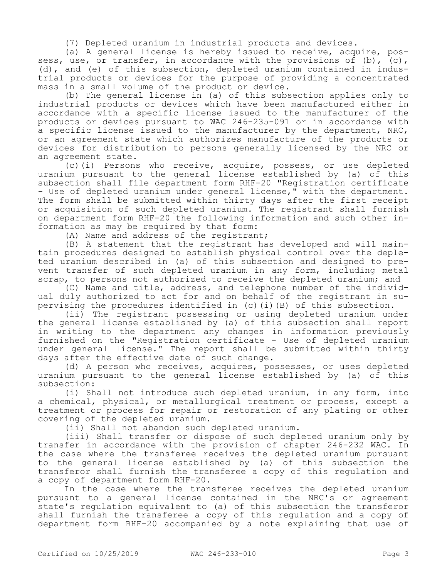(7) Depleted uranium in industrial products and devices.

(a) A general license is hereby issued to receive, acquire, possess, use, or transfer, in accordance with the provisions of (b),  $(c)$ , (d), and (e) of this subsection, depleted uranium contained in industrial products or devices for the purpose of providing a concentrated mass in a small volume of the product or device.

(b) The general license in (a) of this subsection applies only to industrial products or devices which have been manufactured either in accordance with a specific license issued to the manufacturer of the products or devices pursuant to WAC 246-235-091 or in accordance with a specific license issued to the manufacturer by the department, NRC, or an agreement state which authorizes manufacture of the products or devices for distribution to persons generally licensed by the NRC or an agreement state.

(c)(i) Persons who receive, acquire, possess, or use depleted uranium pursuant to the general license established by (a) of this subsection shall file department form RHF-20 "Registration certificate - Use of depleted uranium under general license," with the department. The form shall be submitted within thirty days after the first receipt or acquisition of such depleted uranium. The registrant shall furnish on department form RHF-20 the following information and such other information as may be required by that form:

(A) Name and address of the registrant;

(B) A statement that the registrant has developed and will maintain procedures designed to establish physical control over the depleted uranium described in (a) of this subsection and designed to prevent transfer of such depleted uranium in any form, including metal scrap, to persons not authorized to receive the depleted uranium; and

(C) Name and title, address, and telephone number of the individual duly authorized to act for and on behalf of the registrant in supervising the procedures identified in (c)(i)(B) of this subsection.

(ii) The registrant possessing or using depleted uranium under the general license established by (a) of this subsection shall report in writing to the department any changes in information previously furnished on the "Registration certificate - Use of depleted uranium under general license." The report shall be submitted within thirty days after the effective date of such change.

(d) A person who receives, acquires, possesses, or uses depleted uranium pursuant to the general license established by (a) of this subsection:

(i) Shall not introduce such depleted uranium, in any form, into a chemical, physical, or metallurgical treatment or process, except a treatment or process for repair or restoration of any plating or other covering of the depleted uranium.

(ii) Shall not abandon such depleted uranium.

(iii) Shall transfer or dispose of such depleted uranium only by transfer in accordance with the provision of chapter 246-232 WAC. In the case where the transferee receives the depleted uranium pursuant to the general license established by (a) of this subsection the transferor shall furnish the transferee a copy of this regulation and a copy of department form RHF-20.

In the case where the transferee receives the depleted uranium pursuant to a general license contained in the NRC's or agreement state's regulation equivalent to (a) of this subsection the transferor shall furnish the transferee a copy of this regulation and a copy of department form RHF-20 accompanied by a note explaining that use of